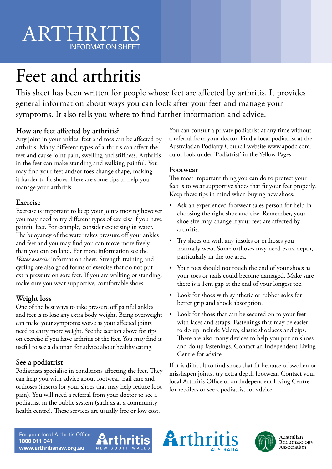# ARTHRITIS INFORMATION SHEET

# Feet and arthritis

This sheet has been written for people whose feet are affected by arthritis. It provides general information about ways you can look after your feet and manage your symptoms. It also tells you where to find further information and advice.

## **How are feet affected by arthritis?**

Any joint in your ankles, feet and toes can be affected by arthritis. Many different types of arthritis can affect the feet and cause joint pain, swelling and stiffness. Arthritis in the feet can make standing and walking painful. You may find your feet and/or toes change shape, making it harder to fit shoes. Here are some tips to help you manage your arthritis.

#### **Exercise**

Exercise is important to keep your joints moving however you may need to try different types of exercise if you have painful feet. For example, consider exercising in water. The buoyancy of the water takes pressure off your ankles and feet and you may find you can move more freely than you can on land. For more information see the *Water exercise* information sheet. Strength training and cycling are also good forms of exercise that do not put extra pressure on sore feet. If you are walking or standing, make sure you wear supportive, comfortable shoes.

## **Weight loss**

One of the best ways to take pressure off painful ankles and feet is to lose any extra body weight. Being overweight can make your symptoms worse as your affected joints need to carry more weight. See the section above for tips on exercise if you have arthritis of the feet. You may find it useful to see a dietitian for advice about healthy eating.

## **See a podiatrist**

Podiatrists specialise in conditions affecting the feet. They can help you with advice about footwear, nail care and orthoses (inserts for your shoes that may help reduce foot pain). You will need a referral from your doctor to see a podiatrist in the public system (such as at a community health centre). These services are usually free or low cost.

You can consult a private podiatrist at any time without a referral from your doctor. Find a local podiatrist at the Australasian Podiatry Council website www.apodc.com. au or look under 'Podiatrist' in the Yellow Pages.

#### **Footwear**

The most important thing you can do to protect your feet is to wear supportive shoes that fit your feet properly. Keep these tips in mind when buying new shoes.

- Ask an experienced footwear sales person for help in choosing the right shoe and size. Remember, your shoe size may change if your feet are affected by arthritis.
- Try shoes on with any insoles or orthoses you normally wear. Some orthoses may need extra depth, particularly in the toe area.
- Your toes should not touch the end of your shoes as your toes or nails could become damaged. Make sure there is a 1cm gap at the end of your longest toe.
- Look for shoes with synthetic or rubber soles for better grip and shock absorption.
- Look for shoes that can be secured on to your feet with laces and straps. Fastenings that may be easier to do up include Velcro, elastic shoelaces and zips. There are also many devices to help you put on shoes and do up fastenings. Contact an Independent Living Centre for advice.

If it is difficult to find shoes that fit because of swollen or misshapen joints, try extra depth footwear. Contact your local Arthritis Office or an Independent Living Centre for retailers or see a podiatrist for advice.